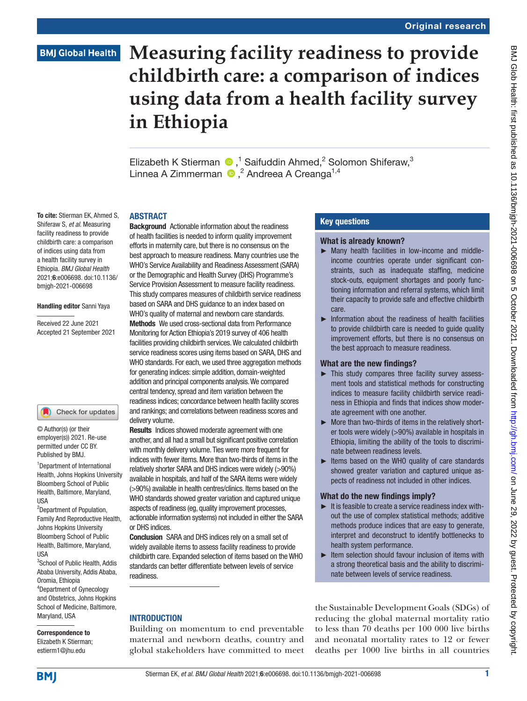# **BMJ Global Health**

# **Measuring facility readiness to provide childbirth care: a comparison of indices using data from a health facility survey in Ethiopia**

Elizabeth K Stierman  $\bigcirc$ ,<sup>1</sup> Saifuddin Ahmed,<sup>2</sup> Solomon Shiferaw,<sup>3</sup> LinneaA Zimmerman  $\bigcirc$ ,  $^2$  Andreea A Creanga<sup>1,4</sup>

#### **ARSTRACT**

To cite: Stierman EK, Ahmed S, Shiferaw S, *et al*. Measuring facility readiness to provide childbirth care: a comparison of indices using data from a health facility survey in Ethiopia. *BMJ Global Health* 2021;6:e006698. doi:10.1136/ bmjgh-2021-006698

#### Handling editor Sanni Yaya

Received 22 June 2021 Accepted 21 September 2021



© Author(s) (or their employer(s)) 2021. Re-use permitted under CC BY. Published by BMJ.

1 Department of International Health, Johns Hopkins University Bloomberg School of Public Health, Baltimore, Maryland, USA

<sup>2</sup>Department of Population, Family And Reproductive Health, Johns Hopkins University Bloomberg School of Public Health, Baltimore, Maryland, USA

<sup>3</sup>School of Public Health, Addis Ababa University, Addis Ababa, Oromia, Ethiopia 4 Department of Gynecology and Obstetrics, Johns Hopkins School of Medicine, Baltimore, Maryland, USA

Correspondence to Elizabeth K Stierman; estierm1@jhu.edu

Background Actionable information about the readiness of health facilities is needed to inform quality improvement efforts in maternity care, but there is no consensus on the best approach to measure readiness. Many countries use the WHO's Service Availability and Readiness Assessment (SARA) or the Demographic and Health Survey (DHS) Programme's Service Provision Assessment to measure facility readiness. This study compares measures of childbirth service readiness based on SARA and DHS guidance to an index based on WHO's quality of maternal and newborn care standards. Methods We used cross-sectional data from Performance Monitoring for Action Ethiopia's 2019 survey of 406 health facilities providing childbirth services. We calculated childbirth service readiness scores using items based on SARA, DHS and WHO standards. For each, we used three aggregation methods for generating indices: simple addition, domain-weighted addition and principal components analysis. We compared central tendency, spread and item variation between the readiness indices; concordance between health facility scores and rankings; and correlations between readiness scores and delivery volume.

**Results** Indices showed moderate agreement with one another, and all had a small but significant positive correlation with monthly delivery volume. Ties were more frequent for indices with fewer items. More than two-thirds of items in the relatively shorter SARA and DHS indices were widely (>90%) available in hospitals, and half of the SARA items were widely (>90%) available in health centres/clinics. Items based on the WHO standards showed greater variation and captured unique aspects of readiness (eg, quality improvement processes, actionable information systems) not included in either the SARA or DHS indices.

Conclusion SARA and DHS indices rely on a small set of widely available items to assess facility readiness to provide childbirth care. Expanded selection of items based on the WHO standards can better differentiate between levels of service readiness.

### **INTRODUCTION**

Building on momentum to end preventable maternal and newborn deaths, country and global stakeholders have committed to meet

#### Key questions

#### What is already known?

- ► Many health facilities in low-income and middleincome countries operate under significant constraints, such as inadequate staffing, medicine stock-outs, equipment shortages and poorly functioning information and referral systems, which limit their capacity to provide safe and effective childbirth care.
- ► Information about the readiness of health facilities to provide childbirth care is needed to guide quality improvement efforts, but there is no consensus on the best approach to measure readiness.

#### What are the new findings?

- ► This study compares three facility survey assessment tools and statistical methods for constructing indices to measure facility childbirth service readiness in Ethiopia and finds that indices show moderate agreement with one another.
- ► More than two-thirds of items in the relatively shorter tools were widely (>90%) available in hospitals in Ethiopia, limiting the ability of the tools to discriminate between readiness levels.
- ► Items based on the WHO quality of care standards showed greater variation and captured unique aspects of readiness not included in other indices.

#### What do the new findings imply?

- $\blacktriangleright$  It is feasible to create a service readiness index without the use of complex statistical methods; additive methods produce indices that are easy to generate, interpret and deconstruct to identify bottlenecks to health system performance.
- ► Item selection should favour inclusion of items with a strong theoretical basis and the ability to discriminate between levels of service readiness.

the Sustainable Development Goals (SDGs) of reducing the global maternal mortality ratio to less than 70 deaths per 100 000 live births and neonatal mortality rates to 12 or fewer deaths per 1000 live births in all countries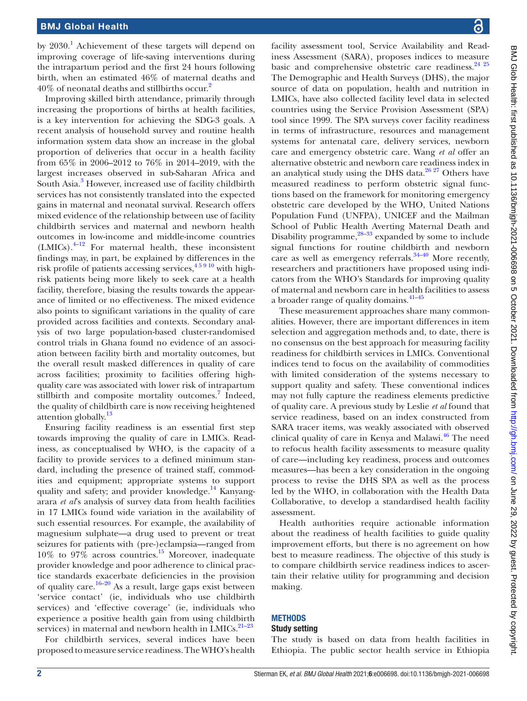by 2030.<sup>[1](#page-8-0)</sup> Achievement of these targets will depend on improving coverage of life-saving interventions during the intrapartum period and the first 24 hours following birth, when an estimated 46% of maternal deaths and 40% of neonatal deaths and stillbirths occur.[2](#page-8-1)

Improving skilled birth attendance, primarily through increasing the proportions of births at health facilities, is a key intervention for achieving the SDG-3 goals. A recent analysis of household survey and routine health information system data show an increase in the global proportion of deliveries that occur in a health facility from 65% in 2006–2012 to 76% in 2014–2019, with the largest increases observed in sub-Saharan Africa and South Asia.<sup>3</sup> However, increased use of facility childbirth services has not consistently translated into the expected gains in maternal and neonatal survival. Research offers mixed evidence of the relationship between use of facility childbirth services and maternal and newborn health outcomes in low-income and middle-income countries  $(LMICs).$ <sup>4–12</sup> For maternal health, these inconsistent findings may, in part, be explained by differences in the risk profile of patients accessing services,  $45910$  with highrisk patients being more likely to seek care at a health facility, therefore, biasing the results towards the appearance of limited or no effectiveness. The mixed evidence also points to significant variations in the quality of care provided across facilities and contexts. Secondary analysis of two large population-based cluster-randomised control trials in Ghana found no evidence of an association between facility birth and mortality outcomes, but the overall result masked differences in quality of care across facilities; proximity to facilities offering highquality care was associated with lower risk of intrapartum stillbirth and composite mortality outcomes.<sup>[7](#page-8-4)</sup> Indeed, the quality of childbirth care is now receiving heightened attention globally.<sup>[13](#page-8-5)</sup>

Ensuring facility readiness is an essential first step towards improving the quality of care in LMICs. Readiness, as conceptualised by WHO, is the capacity of a facility to provide services to a defined minimum standard, including the presence of trained staff, commodities and equipment; appropriate systems to support quality and safety; and provider knowledge.<sup>[14](#page-8-6)</sup> Kanyangarara *et al*'s analysis of survey data from health facilities in 17 LMICs found wide variation in the availability of such essential resources. For example, the availability of magnesium sulphate—a drug used to prevent or treat seizures for patients with (pre-)eclampsia—ranged from  $10\%$  to  $97\%$  across countries.<sup>15</sup> Moreover, inadequate provider knowledge and poor adherence to clinical practice standards exacerbate deficiencies in the provision of quality care.<sup>[16–20](#page-9-1)</sup> As a result, large gaps exist between 'service contact' (ie, individuals who use childbirth services) and 'effective coverage' (ie, individuals who experience a positive health gain from using childbirth services) in maternal and newborn health in LMICs. $21-23$ 

For childbirth services, several indices have been proposed to measure service readiness. The WHO's health

facility assessment tool, Service Availability and Readiness Assessment (SARA)*,* proposes indices to measure basic and comprehensive obstetric care readiness.<sup>24 25</sup> The Demographic and Health Surveys (DHS), the major source of data on population, health and nutrition in LMICs, have also collected facility level data in selected countries using the Service Provision Assessment (SPA) tool since 1999. The SPA surveys cover facility readiness in terms of infrastructure, resources and management systems for antenatal care, delivery services, newborn care and emergency obstetric care. Wang *et al* offer an alternative obstetric and newborn care readiness index in an analytical study using the DHS data. $26\frac{27}{27}$  Others have measured readiness to perform obstetric signal functions based on the framework for monitoring emergency obstetric care developed by the WHO, United Nations Population Fund (UNFPA), UNICEF and the Mailman School of Public Health Averting Maternal Death and Disability programme, $28-33$  expanded by some to include signal functions for routine childbirth and newborn care as well as emergency referrals. $34-40$  More recently, researchers and practitioners have proposed using indicators from the WHO's Standards for improving quality of maternal and newborn care in health facilities to assess a broader range of quality domains.[41–45](#page-9-7)

These measurement approaches share many commonalities. However, there are important differences in item selection and aggregation methods and, to date, there is no consensus on the best approach for measuring facility readiness for childbirth services in LMICs. Conventional indices tend to focus on the availability of commodities with limited consideration of the systems necessary to support quality and safety. These conventional indices may not fully capture the readiness elements predictive of quality care. A previous study by Leslie *et al* found that service readiness, based on an index constructed from SARA tracer items, was weakly associated with observed clinical quality of care in Kenya and Malawi.<sup>46</sup> The need to refocus health facility assessments to measure quality of care—including key readiness, process and outcomes measures—has been a key consideration in the ongoing process to revise the DHS SPA as well as the process led by the WHO, in collaboration with the Health Data Collaborative, to develop a standardised health facility assessment.

Health authorities require actionable information about the readiness of health facilities to guide quality improvement efforts, but there is no agreement on how best to measure readiness. The objective of this study is to compare childbirth service readiness indices to ascertain their relative utility for programming and decision making.

## **METHODS**

## Study setting

The study is based on data from health facilities in Ethiopia. The public sector health service in Ethiopia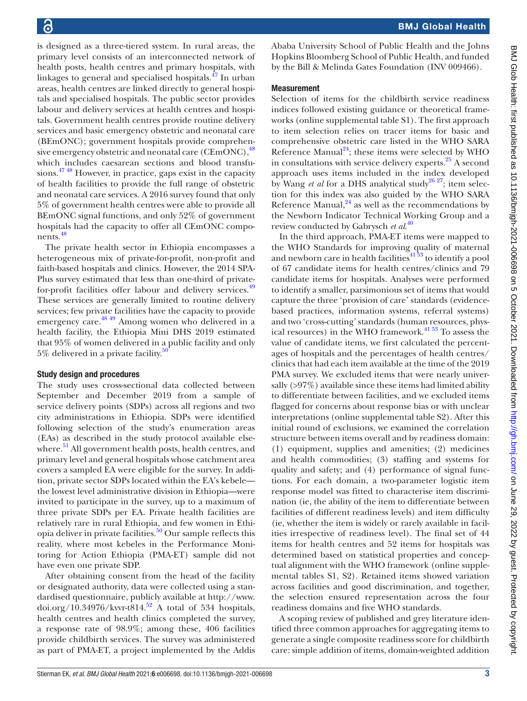is designed as a three-tiered system. In rural areas, the primary level consists of an interconnected network of health posts, health centres and primary hospitals, with linkages to general and specialised hospitals.[47](#page-9-9) In urban areas, health centres are linked directly to general hospitals and specialised hospitals. The public sector provides labour and delivery services at health centres and hospitals. Government health centres provide routine delivery services and basic emergency obstetric and neonatal care (BEmONC); government hospitals provide comprehensive emergency obstetric and neonatal care  $(CEmONC)$ ,  $48$ which includes caesarean sections and blood transfusions.[47 48](#page-9-9) However, in practice, gaps exist in the capacity of health facilities to provide the full range of obstetric and neonatal care services. A 2016 survey found that only 5% of government health centres were able to provide all BEmONC signal functions, and only 52% of government hospitals had the capacity to offer all CEmONC compo-nents.<sup>[48](#page-9-10)</sup>

The private health sector in Ethiopia encompasses a heterogeneous mix of private-for-profit, non-profit and faith-based hospitals and clinics. However, the 2014 SPA-Plus survey estimated that less than one-third of privatefor-profit facilities offer labour and delivery services.<sup>49</sup> These services are generally limited to routine delivery services; few private facilities have the capacity to provide emergency care.<sup>48 49</sup> Among women who delivered in a health facility, the Ethiopia Mini DHS 2019 estimated that 95% of women delivered in a public facility and only 5% delivered in a private facility.<sup>50</sup>

#### Study design and procedures

The study uses cross-sectional data collected between September and December 2019 from a sample of service delivery points (SDPs) across all regions and two city administrations in Ethiopia. SDPs were identified following selection of the study's enumeration areas (EAs) as described in the study protocol available elsewhere.<sup>51</sup> All government health posts, health centres, and primary level and general hospitals whose catchment area covers a sampled EA were eligible for the survey. In addition, private sector SDPs located within the EA's kebele the lowest level administrative division in Ethiopia—were invited to participate in the survey, up to a maximum of three private SDPs per EA. Private health facilities are relatively rare in rural Ethiopia, and few women in Ethiopia deliver in private facilities.<sup>50</sup> Our sample reflects this reality, where most kebeles in the Performance Monitoring for Action Ethiopia (PMA-ET) sample did not have even one private SDP.

After obtaining consent from the head of the facility or designated authority, data were collected using a standardised questionnaire, publicly available at [http://www.](http://www.doi.org/10.34976/kvvr-t814) [doi.org/10.34976/kvvr-t814](http://www.doi.org/10.34976/kvvr-t814).<sup>52</sup> A total of 534 hospitals, health centres and health clinics completed the survey, a response rate of 98.9%; among these, 406 facilities provide childbirth services. The survey was administered as part of PMA-ET, a project implemented by the Addis

Ababa University School of Public Health and the Johns Hopkins Bloomberg School of Public Health, and funded by the Bill & Melinda Gates Foundation (INV 009466).

### **Measurement**

Selection of items for the childbirth service readiness indices followed existing guidance or theoretical frameworks [\(online supplemental table S1\)](https://dx.doi.org/10.1136/bmjgh-2021-006698). The first approach to item selection relies on tracer items for basic and comprehensive obstetric care listed in the WHO SARA Reference Manual<sup>[24](#page-9-3)</sup>; these items were selected by WHO in consultations with service delivery experts.<sup>[25](#page-9-15)</sup> A second approach uses items included in the index developed by Wang *et al* for a DHS analytical study<sup>26 27</sup>; item selection for this index was also guided by the WHO SARA Reference Manual, $^{24}$  as well as the recommendations by the Newborn Indicator Technical Working Group and a review conducted by Gabrysch *et al*. [40](#page-9-16)

In the third approach, PMA-ET items were mapped to the WHO Standards for improving quality of maternal and newborn care in health facilities $41\overline{53}$  to identify a pool of 67 candidate items for health centres/clinics and 79 candidate items for hospitals. Analyses were performed to identify a smaller, parsimonious set of items that would capture the three 'provision of care' standards (evidencebased practices, information systems, referral systems) and two 'cross-cutting' standards (human resources, physical resources) in the WHO framework. $41\frac{53}{2}$  To assess the value of candidate items, we first calculated the percentages of hospitals and the percentages of health centres/ clinics that had each item available at the time of the 2019 PMA survey. We excluded items that were nearly universally  $(>97\%)$  available since these items had limited ability to differentiate between facilities, and we excluded items flagged for concerns about response bias or with unclear interpretations [\(online supplemental table S2](https://dx.doi.org/10.1136/bmjgh-2021-006698)). After this initial round of exclusions, we examined the correlation structure between items overall and by readiness domain: (1) equipment, supplies and amenities; (2) medicines and health commodities; (3) staffing and systems for quality and safety; and (4) performance of signal functions. For each domain, a two-parameter logistic item response model was fitted to characterise item discrimination (ie, the ability of the item to differentiate between facilities of different readiness levels) and item difficulty (ie, whether the item is widely or rarely available in facilities irrespective of readiness level). The final set of 44 items for health centres and 52 items for hospitals was determined based on statistical properties and conceptual alignment with the WHO framework [\(online supple](https://dx.doi.org/10.1136/bmjgh-2021-006698)[mental tables S1, S2\)](https://dx.doi.org/10.1136/bmjgh-2021-006698). Retained items showed variation across facilities and good discrimination, and together, the selection ensured representation across the four readiness domains and five WHO standards.

A scoping review of published and grey literature identified three common approaches for aggregating items to generate a single composite readiness score for childbirth care: simple addition of items, domain-weighted addition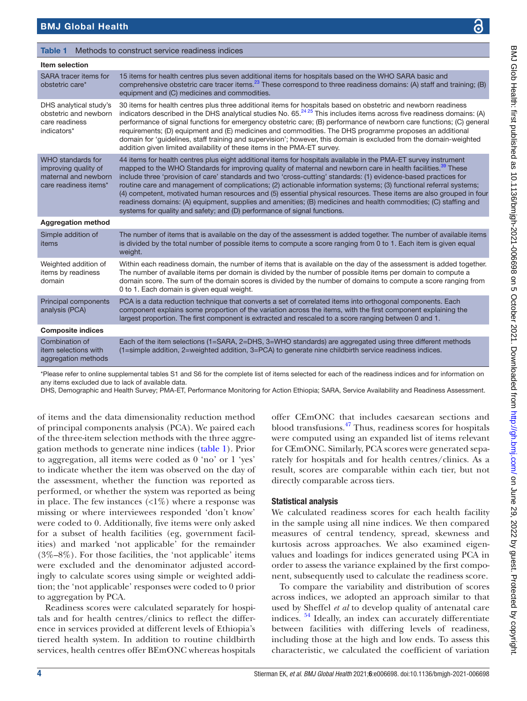#### <span id="page-3-0"></span>Table 1 Methods to construct service readiness indices

| <b>Item selection</b>                                                                             |                                                                                                                                                                                                                                                                                                                                                                                                                                                                                                                                                                                                                                                                                                                                                                                                             |
|---------------------------------------------------------------------------------------------------|-------------------------------------------------------------------------------------------------------------------------------------------------------------------------------------------------------------------------------------------------------------------------------------------------------------------------------------------------------------------------------------------------------------------------------------------------------------------------------------------------------------------------------------------------------------------------------------------------------------------------------------------------------------------------------------------------------------------------------------------------------------------------------------------------------------|
| SARA tracer items for<br>obstetric care*                                                          | 15 items for health centres plus seven additional items for hospitals based on the WHO SARA basic and<br>comprehensive obstetric care tracer items. <sup>23</sup> These correspond to three readiness domains: (A) staff and training; (B)<br>equipment and (C) medicines and commodities.                                                                                                                                                                                                                                                                                                                                                                                                                                                                                                                  |
| DHS analytical study's<br>obstetric and newborn<br>care readiness<br>indicators*                  | 30 items for health centres plus three additional items for hospitals based on obstetric and newborn readiness<br>indicators described in the DHS analytical studies No. $65.^{2425}$ This includes items across five readiness domains: (A)<br>performance of signal functions for emergency obstetric care; (B) performance of newborn care functions; (C) general<br>requirements; (D) equipment and (E) medicines and commodities. The DHS programme proposes an additional<br>domain for 'quidelines, staff training and supervision'; however, this domain is excluded from the domain-weighted<br>addition given limited availability of these items in the PMA-ET survey.                                                                                                                           |
| <b>WHO</b> standards for<br>improving quality of<br>maternal and newborn<br>care readiness items* | 44 items for health centres plus eight additional items for hospitals available in the PMA-ET survey instrument<br>mapped to the WHO Standards for improving quality of maternal and newborn care in health facilities. <sup>39</sup> These<br>include three 'provision of care' standards and two 'cross-cutting' standards: (1) evidence-based practices for<br>routine care and management of complications; (2) actionable information systems; (3) functional referral systems;<br>(4) competent, motivated human resources and (5) essential physical resources. These items are also grouped in four<br>readiness domains: (A) equipment, supplies and amenities; (B) medicines and health commodities; (C) staffing and<br>systems for quality and safety; and (D) performance of signal functions. |
| <b>Aggregation method</b>                                                                         |                                                                                                                                                                                                                                                                                                                                                                                                                                                                                                                                                                                                                                                                                                                                                                                                             |
| Simple addition of<br>items                                                                       | The number of items that is available on the day of the assessment is added together. The number of available items<br>is divided by the total number of possible items to compute a score ranging from 0 to 1. Each item is given equal<br>weight.                                                                                                                                                                                                                                                                                                                                                                                                                                                                                                                                                         |
| Weighted addition of<br>items by readiness<br>domain                                              | Within each readiness domain, the number of items that is available on the day of the assessment is added together.<br>The number of available items per domain is divided by the number of possible items per domain to compute a<br>domain score. The sum of the domain scores is divided by the number of domains to compute a score ranging from<br>0 to 1. Each domain is given equal weight.                                                                                                                                                                                                                                                                                                                                                                                                          |
| <b>Principal components</b><br>analysis (PCA)                                                     | PCA is a data reduction technique that converts a set of correlated items into orthogonal components. Each<br>component explains some proportion of the variation across the items, with the first component explaining the<br>largest proportion. The first component is extracted and rescaled to a score ranging between 0 and 1.                                                                                                                                                                                                                                                                                                                                                                                                                                                                        |
| <b>Composite indices</b>                                                                          |                                                                                                                                                                                                                                                                                                                                                                                                                                                                                                                                                                                                                                                                                                                                                                                                             |
| Combination of<br>item selections with<br>aggregation methods                                     | Each of the item selections (1=SARA, 2=DHS, 3=WHO standards) are aggregated using three different methods<br>(1=simple addition, 2=weighted addition, 3=PCA) to generate nine childbirth service readiness indices.                                                                                                                                                                                                                                                                                                                                                                                                                                                                                                                                                                                         |

\*Please refer to [online supplemental tables S1 and S6](https://dx.doi.org/10.1136/bmjgh-2021-006698) for the complete list of items selected for each of the readiness indices and for information on any items excluded due to lack of available data.

DHS, Demographic and Health Survey; PMA-ET, Performance Monitoring for Action Ethiopia; SARA, Service Availability and Readiness Assessment.

of items and the data dimensionality reduction method of principal components analysis (PCA). We paired each of the three-item selection methods with the three aggregation methods to generate nine indices ([table](#page-3-0) 1). Prior to aggregation, all items were coded as 0 'no' or 1 'yes' to indicate whether the item was observed on the day of the assessment, whether the function was reported as performed, or whether the system was reported as being in place. The few instances  $\langle 1\% \rangle$  where a response was missing or where interviewees responded 'don't know' were coded to 0. Additionally, five items were only asked for a subset of health facilities (eg, government facilities) and marked 'not applicable' for the remainder (3%–8%). For those facilities, the 'not applicable' items were excluded and the denominator adjusted accordingly to calculate scores using simple or weighted addition; the 'not applicable' responses were coded to 0 prior to aggregation by PCA.

Readiness scores were calculated separately for hospitals and for health centres/clinics to reflect the difference in services provided at different levels of Ethiopia's tiered health system. In addition to routine childbirth services, health centres offer BEmONC whereas hospitals

offer CEmONC that includes caesarean sections and blood transfusions[.47](#page-9-9) Thus, readiness scores for hospitals were computed using an expanded list of items relevant for CEmONC. Similarly, PCA scores were generated separately for hospitals and for health centres/clinics. As a result, scores are comparable within each tier, but not directly comparable across tiers.

#### Statistical analysis

We calculated readiness scores for each health facility in the sample using all nine indices. We then compared measures of central tendency, spread, skewness and kurtosis across approaches. We also examined eigenvalues and loadings for indices generated using PCA in order to assess the variance explained by the first component, subsequently used to calculate the readiness score.

To compare the variability and distribution of scores across indices, we adopted an approach similar to that used by Sheffel *et al* to develop quality of antenatal care indices. [54](#page-9-17) Ideally, an index can accurately differentiate between facilities with differing levels of readiness, including those at the high and low ends. To assess this characteristic, we calculated the coefficient of variation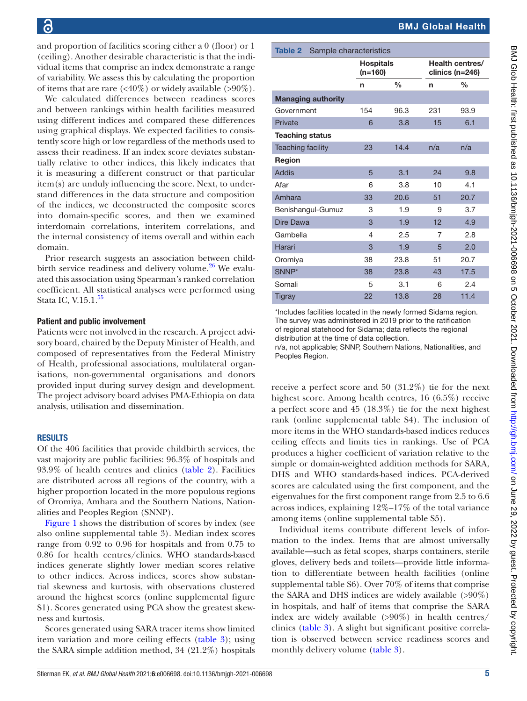and proportion of facilities scoring either a 0 (floor) or 1 (ceiling). Another desirable characteristic is that the individual items that comprise an index demonstrate a range of variability. We assess this by calculating the proportion of items that are rare  $\langle \langle 40\% \rangle$  or widely available  $\langle >90\% \rangle$ .

We calculated differences between readiness scores and between rankings within health facilities measured using different indices and compared these differences using graphical displays. We expected facilities to consistently score high or low regardless of the methods used to assess their readiness. If an index score deviates substantially relative to other indices, this likely indicates that it is measuring a different construct or that particular item(s) are unduly influencing the score. Next, to understand differences in the data structure and composition of the indices, we deconstructed the composite scores into domain-specific scores, and then we examined interdomain correlations, interitem correlations, and the internal consistency of items overall and within each domain.

Prior research suggests an association between childbirth service readiness and delivery volume. $^{26}$  $^{26}$  $^{26}$  We evaluated this association using Spearman's ranked correlation coefficient. All statistical analyses were performed using Stata IC, V.15.1.<sup>55</sup>

#### Patient and public involvement

Patients were not involved in the research. A project advisory board, chaired by the Deputy Minister of Health, and composed of representatives from the Federal Ministry of Health, professional associations, multilateral organisations, non-governmental organisations and donors provided input during survey design and development. The project advisory board advises PMA-Ethiopia on data analysis, utilisation and dissemination.

#### RESULTS

Of the 406 facilities that provide childbirth services, the vast majority are public facilities: 96.3% of hospitals and 93.9% of health centres and clinics [\(table](#page-4-0) 2). Facilities are distributed across all regions of the country, with a higher proportion located in the more populous regions of Oromiya, Amhara and the Southern Nations, Nationalities and Peoples Region (SNNP).

[Figure](#page-5-0) 1 shows the distribution of scores by index (see also [online supplemental table 3\)](https://dx.doi.org/10.1136/bmjgh-2021-006698). Median index scores range from 0.92 to 0.96 for hospitals and from 0.75 to 0.86 for health centres/clinics. WHO standards-based indices generate slightly lower median scores relative to other indices. Across indices, scores show substantial skewness and kurtosis, with observations clustered around the highest scores ([online supplemental figure](https://dx.doi.org/10.1136/bmjgh-2021-006698) [S1](https://dx.doi.org/10.1136/bmjgh-2021-006698)). Scores generated using PCA show the greatest skewness and kurtosis.

Scores generated using SARA tracer items show limited item variation and more ceiling effects ([table](#page-6-0) 3); using the SARA simple addition method, 34 (21.2%) hospitals

<span id="page-4-0"></span>

| Table 2<br>Sample characteristics |                             |               |     |                                      |  |  |  |  |  |  |
|-----------------------------------|-----------------------------|---------------|-----|--------------------------------------|--|--|--|--|--|--|
|                                   | <b>Hospitals</b><br>(n=160) |               |     | Health centres/<br>clinics $(n=246)$ |  |  |  |  |  |  |
|                                   | n                           | $\frac{0}{0}$ | n   | $\frac{0}{0}$                        |  |  |  |  |  |  |
| <b>Managing authority</b>         |                             |               |     |                                      |  |  |  |  |  |  |
| Government                        | 154                         | 96.3          | 231 | 93.9                                 |  |  |  |  |  |  |
| Private                           | 6                           | 3.8           | 15  | 6.1                                  |  |  |  |  |  |  |
| <b>Teaching status</b>            |                             |               |     |                                      |  |  |  |  |  |  |
| <b>Teaching facility</b>          | 23                          | 14.4          | n/a | n/a                                  |  |  |  |  |  |  |
| Region                            |                             |               |     |                                      |  |  |  |  |  |  |
| Addis                             | 5                           | 3.1           | 24  | 9.8                                  |  |  |  |  |  |  |
| Afar                              | 6                           | 3.8           | 10  | 4.1                                  |  |  |  |  |  |  |
| Amhara                            | 33                          | 20.6          | 51  | 20.7                                 |  |  |  |  |  |  |
| Benishangul-Gumuz                 | 3                           | 1.9           | 9   | 3.7                                  |  |  |  |  |  |  |
| Dire Dawa                         | 3                           | 1.9           | 12  | 4.9                                  |  |  |  |  |  |  |
| Gambella                          | 4                           | 2.5           | 7   | 2.8                                  |  |  |  |  |  |  |
| Harari                            | 3                           | 1.9           | 5   | 2.0                                  |  |  |  |  |  |  |
| Oromiya                           | 38                          | 23.8          | 51  | 20.7                                 |  |  |  |  |  |  |
| SNNP*                             | 38                          | 23.8          | 43  | 17.5                                 |  |  |  |  |  |  |
| Somali                            | 5                           | 3.1           | 6   | 2.4                                  |  |  |  |  |  |  |
| <b>Tigray</b>                     | 22                          | 13.8          | 28  | 11.4                                 |  |  |  |  |  |  |

\*Includes facilities located in the newly formed Sidama region. The survey was administered in 2019 prior to the ratification of regional statehood for Sidama; data reflects the regional distribution at the time of data collection.

n/a, not applicable; SNNP, Southern Nations, Nationalities, and Peoples Region.

receive a perfect score and 50 (31.2%) tie for the next highest score. Among health centres, 16 (6.5%) receive a perfect score and 45 (18.3%) tie for the next highest rank [\(online supplemental table S4](https://dx.doi.org/10.1136/bmjgh-2021-006698)). The inclusion of more items in the WHO standards-based indices reduces ceiling effects and limits ties in rankings. Use of PCA produces a higher coefficient of variation relative to the simple or domain-weighted addition methods for SARA, DHS and WHO standards-based indices. PCA-derived scores are calculated using the first component, and the eigenvalues for the first component range from 2.5 to 6.6 across indices, explaining 12%–17% of the total variance among items ([online supplemental table S5\)](https://dx.doi.org/10.1136/bmjgh-2021-006698).

Individual items contribute different levels of information to the index. Items that are almost universally available—such as fetal scopes, sharps containers, sterile gloves, delivery beds and toilets—provide little information to differentiate between health facilities [\(online](https://dx.doi.org/10.1136/bmjgh-2021-006698) [supplemental table S6](https://dx.doi.org/10.1136/bmjgh-2021-006698)). Over 70% of items that comprise the SARA and DHS indices are widely available  $(>90\%)$ in hospitals, and half of items that comprise the SARA index are widely available  $(>90\%)$  in health centres/ clinics ([table](#page-6-0) 3). A slight but significant positive correlation is observed between service readiness scores and monthly delivery volume [\(table](#page-6-0) 3).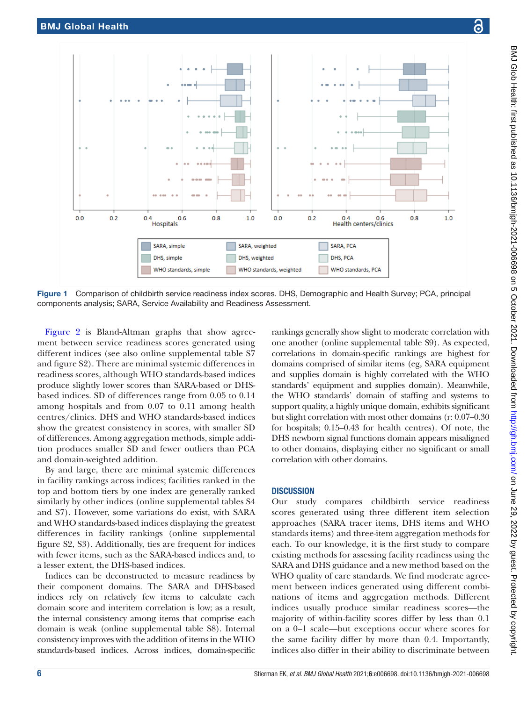

<span id="page-5-0"></span>Figure 1 Comparison of childbirth service readiness index scores. DHS, Demographic and Health Survey; PCA, principal components analysis; SARA, Service Availability and Readiness Assessment.

[Figure](#page-7-0) 2 is Bland-Altman graphs that show agreement between service readiness scores generated using different indices (see also [online supplemental table S7](https://dx.doi.org/10.1136/bmjgh-2021-006698)  [and figure S2](https://dx.doi.org/10.1136/bmjgh-2021-006698)). There are minimal systemic differences in readiness scores, although WHO standards-based indices produce slightly lower scores than SARA-based or DHSbased indices. SD of differences range from 0.05 to 0.14 among hospitals and from 0.07 to 0.11 among health centres/clinics. DHS and WHO standards-based indices show the greatest consistency in scores, with smaller SD of differences. Among aggregation methods, simple addition produces smaller SD and fewer outliers than PCA and domain-weighted addition.

By and large, there are minimal systemic differences in facility rankings across indices; facilities ranked in the top and bottom tiers by one index are generally ranked similarly by other indices ([online supplemental tables S4](https://dx.doi.org/10.1136/bmjgh-2021-006698)  [and S7\)](https://dx.doi.org/10.1136/bmjgh-2021-006698). However, some variations do exist, with SARA and WHO standards-based indices displaying the greatest differences in facility rankings ([online supplemental](https://dx.doi.org/10.1136/bmjgh-2021-006698)  [figure S2, S3\)](https://dx.doi.org/10.1136/bmjgh-2021-006698). Additionally, ties are frequent for indices with fewer items, such as the SARA-based indices and, to a lesser extent, the DHS-based indices.

Indices can be deconstructed to measure readiness by their component domains. The SARA and DHS-based indices rely on relatively few items to calculate each domain score and interitem correlation is low; as a result, the internal consistency among items that comprise each domain is weak ([online supplemental table S8\)](https://dx.doi.org/10.1136/bmjgh-2021-006698). Internal consistency improves with the addition of items in the WHO standards-based indices. Across indices, domain-specific

rankings generally show slight to moderate correlation with one another ([online supplemental table S9](https://dx.doi.org/10.1136/bmjgh-2021-006698)). As expected, correlations in domain-specific rankings are highest for domains comprised of similar items (eg, SARA equipment and supplies domain is highly correlated with the WHO standards' equipment and supplies domain). Meanwhile, the WHO standards' domain of staffing and systems to support quality, a highly unique domain, exhibits significant but slight correlation with most other domains (r: 0.07–0.30 for hospitals; 0.15–0.43 for health centres). Of note, the DHS newborn signal functions domain appears misaligned to other domains, displaying either no significant or small correlation with other domains.

#### **DISCUSSION**

Our study compares childbirth service readiness scores generated using three different item selection approaches (SARA tracer items, DHS items and WHO standards items) and three-item aggregation methods for each. To our knowledge, it is the first study to compare existing methods for assessing facility readiness using the SARA and DHS guidance and a new method based on the WHO quality of care standards. We find moderate agreement between indices generated using different combinations of items and aggregation methods. Different indices usually produce similar readiness scores—the majority of within-facility scores differ by less than 0.1 on a 0–1 scale—but exceptions occur where scores for the same facility differ by more than 0.4. Importantly, indices also differ in their ability to discriminate between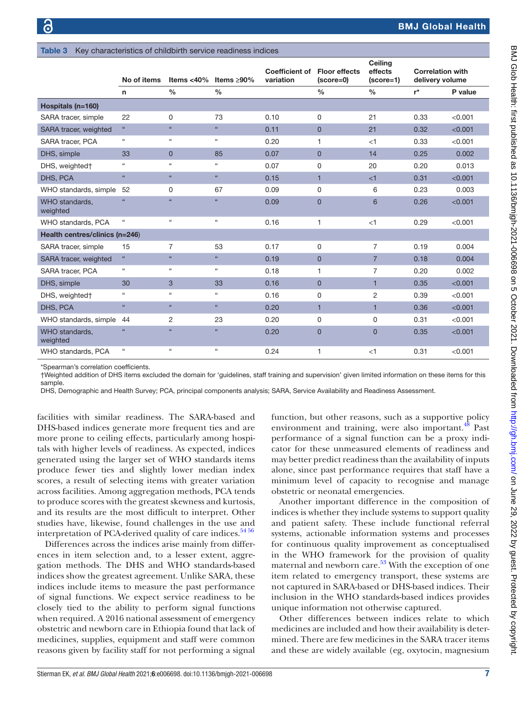<span id="page-6-0"></span>

| Key characteristics of childbirth service readiness indices<br><b>Table 3</b> |                            |                            |                    |                                    |                                     |                                   |                                            |         |  |  |  |
|-------------------------------------------------------------------------------|----------------------------|----------------------------|--------------------|------------------------------------|-------------------------------------|-----------------------------------|--------------------------------------------|---------|--|--|--|
|                                                                               | No of items                | Items $<$ 40%              | Items $\geq 90\%$  | <b>Coefficient of</b><br>variation | <b>Floor effects</b><br>$(score=0)$ | Ceiling<br>effects<br>$(score=1)$ | <b>Correlation with</b><br>delivery volume |         |  |  |  |
|                                                                               | n                          | $\frac{0}{0}$              | $\frac{0}{0}$      |                                    | $\frac{0}{0}$                       | $\frac{0}{0}$                     | $r^{\star}$                                | P value |  |  |  |
| Hospitals (n=160)                                                             |                            |                            |                    |                                    |                                     |                                   |                                            |         |  |  |  |
| SARA tracer, simple                                                           | 22                         | 0                          | 73                 | 0.10                               | 0                                   | 21                                | 0.33                                       | < 0.001 |  |  |  |
| SARA tracer, weighted                                                         | $\alpha$                   | $\Omega$                   | $\alpha$           | 0.11                               | $\overline{0}$                      | 21                                | 0.32                                       | < 0.001 |  |  |  |
| SARA tracer, PCA                                                              | $\epsilon\epsilon$         | $\epsilon$                 | $\epsilon\epsilon$ | 0.20                               | 1                                   | <1                                | 0.33                                       | < 0.001 |  |  |  |
| DHS, simple                                                                   | 33                         | $\mathbf 0$                | 85                 | 0.07                               | $\overline{0}$                      | 14                                | 0.25                                       | 0.002   |  |  |  |
| DHS, weighted†                                                                | $\epsilon\epsilon$         | $\epsilon$                 | $\alpha$           | 0.07                               | 0                                   | 20                                | 0.20                                       | 0.013   |  |  |  |
| DHS, PCA                                                                      | $\alpha$                   | $\alpha$                   | $\epsilon\epsilon$ | 0.15                               | $\mathbf{1}$                        | <1                                | 0.31                                       | < 0.001 |  |  |  |
| WHO standards, simple                                                         | 52                         | 0                          | 67                 | 0.09                               | 0                                   | 6                                 | 0.23                                       | 0.003   |  |  |  |
| WHO standards.<br>weighted                                                    | cc.                        | $\epsilon$                 | $\alpha$           | 0.09                               | $\overline{0}$                      | $6\phantom{1}$                    | 0.26                                       | < 0.001 |  |  |  |
| WHO standards, PCA                                                            | $\epsilon$                 | $\mathfrak{c}\mathfrak{c}$ | $\alpha$           | 0.16                               | 1                                   | $<$ 1                             | 0.29                                       | < 0.001 |  |  |  |
| Health centres/clinics (n=246)                                                |                            |                            |                    |                                    |                                     |                                   |                                            |         |  |  |  |
| SARA tracer, simple                                                           | 15                         | 7                          | 53                 | 0.17                               | 0                                   | 7                                 | 0.19                                       | 0.004   |  |  |  |
| SARA tracer, weighted                                                         | $\alpha$                   | $\Omega$                   | $\alpha$           | 0.19                               | $\overline{0}$                      | $\overline{7}$                    | 0.18                                       | 0.004   |  |  |  |
| SARA tracer. PCA                                                              | $\mathfrak{c}\mathfrak{c}$ | $\epsilon$                 | $\alpha$           | 0.18                               | 1                                   | $\overline{7}$                    | 0.20                                       | 0.002   |  |  |  |
| DHS, simple                                                                   | 30                         | 3                          | 33                 | 0.16                               | $\overline{0}$                      | $\mathbf{1}$                      | 0.35                                       | < 0.001 |  |  |  |
| DHS, weighted†                                                                | $\mathfrak{c}\mathfrak{c}$ | $\epsilon$                 | $\alpha$           | 0.16                               | 0                                   | $\overline{c}$                    | 0.39                                       | < 0.001 |  |  |  |
| DHS, PCA                                                                      | $\alpha$                   | $\alpha$                   | $\epsilon\epsilon$ | 0.20                               | $\mathbf{1}$                        | $\mathbf{1}$                      | 0.36                                       | < 0.001 |  |  |  |
| WHO standards, simple                                                         | 44                         | 2                          | 23                 | 0.20                               | 0                                   | 0                                 | 0.31                                       | < 0.001 |  |  |  |
| WHO standards,<br>weighted                                                    | 66                         | $\mathfrak{c}\mathfrak{c}$ | $\epsilon\epsilon$ | 0.20                               | $\overline{0}$                      | $\overline{0}$                    | 0.35                                       | < 0.001 |  |  |  |
| WHO standards, PCA                                                            | $\mathfrak{c}\mathfrak{c}$ | $\epsilon$                 | $\epsilon\epsilon$ | 0.24                               | 1                                   | $<$ 1                             | 0.31                                       | < 0.001 |  |  |  |

\*Spearman's correlation coefficients.

†Weighted addition of DHS items excluded the domain for 'guidelines, staff training and supervision' given limited information on these items for this sample.

DHS, Demographic and Health Survey; PCA, principal components analysis; SARA, Service Availability and Readiness Assessment.

facilities with similar readiness. The SARA-based and DHS-based indices generate more frequent ties and are more prone to ceiling effects, particularly among hospitals with higher levels of readiness. As expected, indices generated using the larger set of WHO standards items produce fewer ties and slightly lower median index scores, a result of selecting items with greater variation across facilities. Among aggregation methods, PCA tends to produce scores with the greatest skewness and kurtosis, and its results are the most difficult to interpret. Other studies have, likewise, found challenges in the use and interpretation of PCA-derived quality of care indices.<sup>5456</sup>

Differences across the indices arise mainly from differences in item selection and, to a lesser extent, aggregation methods. The DHS and WHO standards-based indices show the greatest agreement. Unlike SARA, these indices include items to measure the past performance of signal functions. We expect service readiness to be closely tied to the ability to perform signal functions when required. A 2016 national assessment of emergency obstetric and newborn care in Ethiopia found that lack of medicines, supplies, equipment and staff were common reasons given by facility staff for not performing a signal

function, but other reasons, such as a supportive policy environment and training, were also important.<sup>48</sup> Past performance of a signal function can be a proxy indicator for these unmeasured elements of readiness and may better predict readiness than the availability of inputs alone, since past performance requires that staff have a minimum level of capacity to recognise and manage obstetric or neonatal emergencies.

Another important difference in the composition of indices is whether they include systems to support quality and patient safety. These include functional referral systems, actionable information systems and processes for continuous quality improvement as conceptualised in the WHO framework for the provision of quality maternal and newborn care. $53$  With the exception of one item related to emergency transport, these systems are not captured in SARA-based or DHS-based indices. Their inclusion in the WHO standards-based indices provides unique information not otherwise captured.

Other differences between indices relate to which medicines are included and how their availability is determined. There are few medicines in the SARA tracer items and these are widely available (eg, oxytocin, magnesium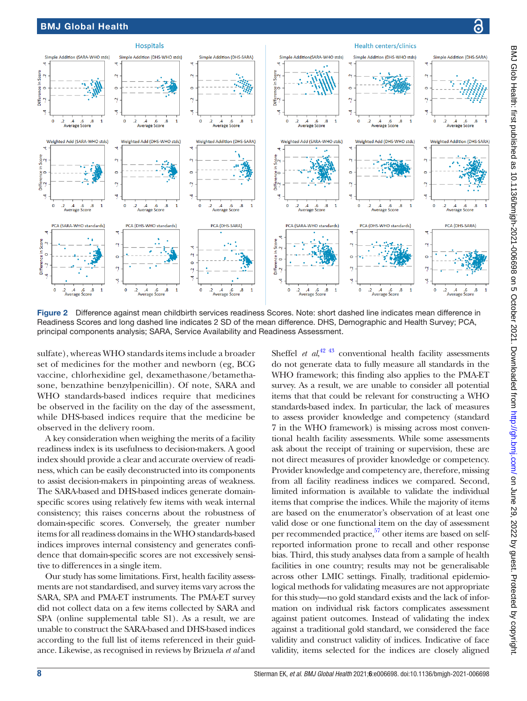

<span id="page-7-0"></span>Figure 2 Difference against mean childbirth services readiness Scores. Note: short dashed line indicates mean difference in Readiness Scores and long dashed line indicates 2 SD of the mean difference. DHS, Demographic and Health Survey; PCA, principal components analysis; SARA, Service Availability and Readiness Assessment.

sulfate), whereas WHO standards items include a broader set of medicines for the mother and newborn (eg, BCG vaccine, chlorhexidine gel, dexamethasone/betamethasone, benzathine benzylpenicillin). Of note, SARA and WHO standards-based indices require that medicines be observed in the facility on the day of the assessment, while DHS-based indices require that the medicine be observed in the delivery room.

A key consideration when weighing the merits of a facility readiness index is its usefulness to decision-makers. A good index should provide a clear and accurate overview of readiness, which can be easily deconstructed into its components to assist decision-makers in pinpointing areas of weakness. The SARA-based and DHS-based indices generate domainspecific scores using relatively few items with weak internal consistency; this raises concerns about the robustness of domain-specific scores. Conversely, the greater number items for all readiness domains in the WHO standards-based indices improves internal consistency and generates confidence that domain-specific scores are not excessively sensitive to differences in a single item.

Our study has some limitations. First, health facility assessments are not standardised, and survey items vary across the SARA, SPA and PMA-ET instruments. The PMA-ET survey did not collect data on a few items collected by SARA and SPA [\(online supplemental table S1\)](https://dx.doi.org/10.1136/bmjgh-2021-006698). As a result, we are unable to construct the SARA-based and DHS-based indices according to the full list of items referenced in their guidance. Likewise, as recognised in reviews by Brizuela *et al* and

Sheffel *et al*, $42^{42}$  conventional health facility assessments do not generate data to fully measure all standards in the WHO framework; this finding also applies to the PMA-ET survey. As a result, we are unable to consider all potential items that that could be relevant for constructing a WHO standards-based index. In particular, the lack of measures to assess provider knowledge and competency (standard 7 in the WHO framework) is missing across most conventional health facility assessments. While some assessments ask about the receipt of training or supervision, these are not direct measures of provider knowledge or competency. Provider knowledge and competency are, therefore, missing from all facility readiness indices we compared. Second, limited information is available to validate the individual items that comprise the indices. While the majority of items are based on the enumerator's observation of at least one valid dose or one functional item on the day of assessment per recommended practice, $57$  other items are based on selfreported information prone to recall and other response bias. Third, this study analyses data from a sample of health facilities in one country; results may not be generalisable across other LMIC settings. Finally, traditional epidemiological methods for validating measures are not appropriate for this study—no gold standard exists and the lack of information on individual risk factors complicates assessment against patient outcomes. Instead of validating the index against a traditional gold standard, we considered the face validity and construct validity of indices. Indicative of face validity, items selected for the indices are closely aligned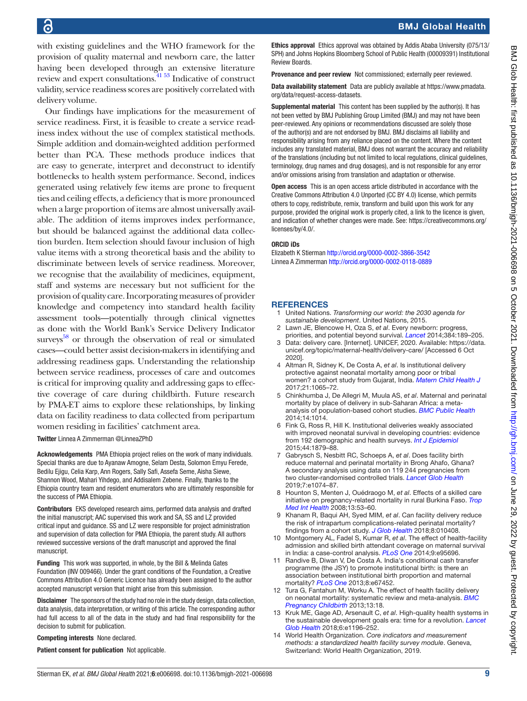with existing guidelines and the WHO framework for the provision of quality maternal and newborn care, the latter having been developed through an extensive literature review and expert consultations.[41 53](#page-9-7) Indicative of construct validity, service readiness scores are positively correlated with delivery volume.

Our findings have implications for the measurement of service readiness. First, it is feasible to create a service readiness index without the use of complex statistical methods. Simple addition and domain-weighted addition performed better than PCA. These methods produce indices that are easy to generate, interpret and deconstruct to identify bottlenecks to health system performance. Second, indices generated using relatively few items are prone to frequent ties and ceiling effects, a deficiency that is more pronounced when a large proportion of items are almost universally available. The addition of items improves index performance, but should be balanced against the additional data collection burden. Item selection should favour inclusion of high value items with a strong theoretical basis and the ability to discriminate between levels of service readiness. Moreover, we recognise that the availability of medicines, equipment, staff and systems are necessary but not sufficient for the provision of quality care. Incorporating measures of provider knowledge and competency into standard health facility assessment tools—potentially through clinical vignettes as done with the World Bank's Service Delivery Indicator surveys<sup>58</sup> or through the observation of real or simulated cases—could better assist decision-makers in identifying and addressing readiness gaps. Understanding the relationship between service readiness, processes of care and outcomes is critical for improving quality and addressing gaps to effective coverage of care during childbirth. Future research by PMA-ET aims to explore these relationships, by linking data on facility readiness to data collected from peripartum women residing in facilities' catchment area.

Twitter Linnea A Zimmerman [@LinneaZPhD](https://twitter.com/LinneaZPhD)

Acknowledgements PMA Ethiopia project relies on the work of many individuals. Special thanks are due to Ayanaw Amogne, Selam Desta, Solomon Emyu Ferede, Bedilu Ejigu, Celia Karp, Ann Rogers, Sally Safi, Assefa Seme, Aisha Siewe, Shannon Wood, Mahari Yihdego, and Addisalem Zebene. Finally, thanks to the Ethiopia country team and resident enumerators who are ultimately responsible for the success of PMA Ethiopia.

Contributors EKS developed research aims, performed data analysis and drafted the initial manuscript; AAC supervised this work and SA, SS and LZ provided critical input and guidance. SS and LZ were responsible for project administration and supervision of data collection for PMA Ethiopia, the parent study. All authors reviewed successive versions of the draft manuscript and approved the final manuscript.

Funding This work was supported, in whole, by the Bill & Melinda Gates Foundation (INV 009466). Under the grant conditions of the Foundation, a Creative Commons Attribution 4.0 Generic Licence has already been assigned to the author accepted manuscript version that might arise from this submission.

Disclaimer The sponsors of the study had no role in the study design, data collection, data analysis, data interpretation, or writing of this article. The corresponding author had full access to all of the data in the study and had final responsibility for the decision to submit for publication.

Competing interests None declared.

Patient consent for publication Not applicable.

Ethics approval Ethics approval was obtained by Addis Ababa University (075/13/ SPH) and Johns Hopkins Bloomberg School of Public Health (00009391) Institutional Review Boards.

Provenance and peer review Not commissioned; externally peer reviewed.

Data availability statement Data are publicly available at [https://www.pmadata.](https://www.pmadata.org/data/request-access-datasets) [org/data/request-access-datasets](https://www.pmadata.org/data/request-access-datasets).

Supplemental material This content has been supplied by the author(s). It has not been vetted by BMJ Publishing Group Limited (BMJ) and may not have been peer-reviewed. Any opinions or recommendations discussed are solely those of the author(s) and are not endorsed by BMJ. BMJ disclaims all liability and responsibility arising from any reliance placed on the content. Where the content includes any translated material, BMJ does not warrant the accuracy and reliability of the translations (including but not limited to local regulations, clinical guidelines, terminology, drug names and drug dosages), and is not responsible for any error and/or omissions arising from translation and adaptation or otherwise.

Open access This is an open access article distributed in accordance with the Creative Commons Attribution 4.0 Unported (CC BY 4.0) license, which permits others to copy, redistribute, remix, transform and build upon this work for any purpose, provided the original work is properly cited, a link to the licence is given, and indication of whether changes were made. See: [https://creativecommons.org/](https://creativecommons.org/licenses/by/4.0/) [licenses/by/4.0/](https://creativecommons.org/licenses/by/4.0/).

#### ORCID iDs

Elizabeth K Stierman <http://orcid.org/0000-0002-3866-3542> Linnea A Zimmerman <http://orcid.org/0000-0002-0118-0889>

#### **REFERENCES**

- <span id="page-8-0"></span>1 United Nations. *Transforming our world: the 2030 agenda for sustainable development*. United Nations, 2015.
- <span id="page-8-1"></span>2 Lawn JE, Blencowe H, Oza S, *et al*. Every newborn: progress, priorities, and potential beyond survival. *[Lancet](http://dx.doi.org/10.1016/S0140-6736(14)60496-7)* 2014;384:189–205.
- <span id="page-8-2"></span>3 Data: delivery care. [Internet]. UNICEF, 2020. Available: [https://data.](https://data.unicef.org/topic/maternal-health/delivery-care/) [unicef.org/topic/maternal-health/delivery-care/](https://data.unicef.org/topic/maternal-health/delivery-care/) [Accessed 6 Oct 2020].
- <span id="page-8-3"></span>4 Altman R, Sidney K, De Costa A, *et al*. Is institutional delivery protective against neonatal mortality among poor or tribal women? a cohort study from Gujarat, India. *[Matern Child Health J](http://dx.doi.org/10.1007/s10995-016-2202-y)* 2017;21:1065–72.
- 5 Chinkhumba J, De Allegri M, Muula AS, *et al*. Maternal and perinatal mortality by place of delivery in sub-Saharan Africa: a metaanalysis of population-based cohort studies. *[BMC Public Health](http://dx.doi.org/10.1186/1471-2458-14-1014)* 2014;14:1014.
- 6 Fink G, Ross R, Hill K. Institutional deliveries weakly associated with improved neonatal survival in developing countries: evidence from 192 demographic and health surveys. *[Int J Epidemiol](http://dx.doi.org/10.1093/ije/dyv115)* 2015;44:1879–88.
- <span id="page-8-4"></span>7 Gabrysch S, Nesbitt RC, Schoeps A, *et al*. Does facility birth reduce maternal and perinatal mortality in Brong Ahafo, Ghana? A secondary analysis using data on 119 244 pregnancies from two cluster-randomised controlled trials. *[Lancet Glob Health](http://dx.doi.org/10.1016/S2214-109X(19)30165-2)* 2019;7:e1074–87.
- 8 Hounton S, Menten J, Ouédraogo M, *et al*. Effects of a skilled care initiative on pregnancy-related mortality in rural Burkina Faso. *[Trop](http://dx.doi.org/10.1111/j.1365-3156.2008.02087.x)  [Med Int Health](http://dx.doi.org/10.1111/j.1365-3156.2008.02087.x)* 2008;13:53–60.
- 9 Khanam R, Baqui AH, Syed MIM, *et al*. Can facility delivery reduce the risk of intrapartum complications-related perinatal mortality? findings from a cohort study. *[J Glob Health](http://dx.doi.org/10.7189/jogh.08.010408)* 2018;8:010408.
- 10 Montgomery AL, Fadel S, Kumar R, *et al*. The effect of health-facility admission and skilled birth attendant coverage on maternal survival in India: a case-control analysis. *[PLoS One](http://dx.doi.org/10.1371/journal.pone.0095696)* 2014;9:e95696.
- 11 Randive B, Diwan V, De Costa A. India's conditional cash transfer programme (the JSY) to promote institutional birth: is there an association between institutional birth proportion and maternal mortality? *[PLoS One](http://dx.doi.org/10.1371/journal.pone.0067452)* 2013;8:e67452.
- 12 Tura G, Fantahun M, Worku A. The effect of health facility delivery on neonatal mortality: systematic review and meta-analysis. *[BMC](http://dx.doi.org/10.1186/1471-2393-13-18)  [Pregnancy Childbirth](http://dx.doi.org/10.1186/1471-2393-13-18)* 2013;13:18.
- <span id="page-8-5"></span>13 Kruk ME, Gage AD, Arsenault C, *et al*. High-quality health systems in the sustainable development goals era: time for a revolution. *[Lancet](http://dx.doi.org/10.1016/S2214-109X(18)30386-3)  [Glob Health](http://dx.doi.org/10.1016/S2214-109X(18)30386-3)* 2018;6:e1196–252.
- <span id="page-8-6"></span>14 World Health Organization. *Core indicators and measurement methods: a standardized health facility survey module*. Geneva, Switzerland: World Health Organization, 2019.